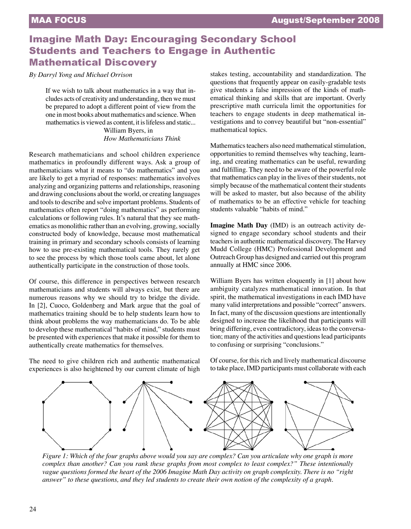# Imagine Math Day: Encouraging Secondary School Students and Teachers to Engage in Authentic Mathematical Discovery

*By Darryl Yong and Michael Orrison*

If we wish to talk about mathematics in a way that includes acts of creativity and understanding, then we must be prepared to adopt a different point of view from the one in most books about mathematics and science. When mathematics is viewed as content, it is lifeless and static... William Byers, in

*How Mathematicians Think*

Research mathematicians and school children experience mathematics in profoundly different ways. Ask a group of mathematicians what it means to "do mathematics" and you are likely to get a myriad of responses: mathematics involves analyzing and organizing patterns and relationships, reasoning and drawing conclusions about the world, or creating languages and tools to describe and solve important problems. Students of mathematics often report "doing mathematics" as performing calculations or following rules. It's natural that they see mathematics as monolithic rather than an evolving, growing, socially constructed body of knowledge, because most mathematical training in primary and secondary schools consists of learning how to use pre-existing mathematical tools. They rarely get to see the process by which those tools came about, let alone authentically participate in the construction of those tools.

Of course, this difference in perspectives between research mathematicians and students will always exist, but there are numerous reasons why we should try to bridge the divide. In [2], Cuoco, Goldenberg and Mark argue that the goal of mathematics training should be to help students learn how to think about problems the way mathematicians do. To be able to develop these mathematical "habits of mind," students must be presented with experiences that make it possible for them to authentically create mathematics for themselves.

The need to give children rich and authentic mathematical experiences is also heightened by our current climate of high stakes testing, accountability and standardization. The questions that frequently appear on easily-gradable tests give students a false impression of the kinds of mathematical thinking and skills that are important. Overly prescriptive math curricula limit the opportunities for teachers to engage students in deep mathematical investigations and to convey beautiful but "non-essential" mathematical topics.

Mathematics teachers also need mathematical stimulation, opportunities to remind themselves why teaching, learning, and creating mathematics can be useful, rewarding and fulfilling. They need to be aware of the powerful role that mathematics can play in the lives of their students, not simply because of the mathematical content their students will be asked to master, but also because of the ability of mathematics to be an effective vehicle for teaching students valuable "habits of mind."

**Imagine Math Day** (IMD) is an outreach activity designed to engage secondary school students and their teachers in authentic mathematical discovery. The Harvey Mudd College (HMC) Professional Development and Outreach Group has designed and carried out this program annually at HMC since 2006.

William Byers has written eloquently in [1] about how ambiguity catalyzes mathematical innovation. In that spirit, the mathematical investigations in each IMD have many valid interpretations and possible "correct" answers. In fact, many of the discussion questions are intentionally designed to increase the likelihood that participants will bring differing, even contradictory, ideas to the conversation; many of the activities and questions lead participants to confusing or surprising "conclusions."

Of course, for this rich and lively mathematical discourse to take place, IMD participants must collaborate with each



*Figure 1: Which of the four graphs above would you say are complex? Can you articulate why one graph is more complex than another? Can you rank these graphs from most complex to least complex?" These intentionally vague questions formed the heart of the 2006 Imagine Math Day activity on graph complexity. There is no "right answer" to these questions, and they led students to create their own notion of the complexity of a graph.*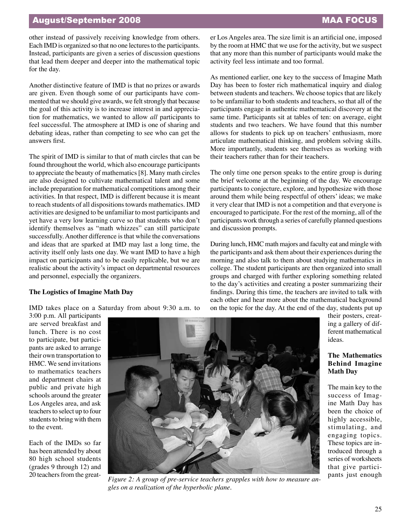## MAA FOCUS

## August/September 2008

other instead of passively receiving knowledge from others. Each IMD is organized so that no one lectures to the participants. Instead, participants are given a series of discussion questions that lead them deeper and deeper into the mathematical topic for the day.

Another distinctive feature of IMD is that no prizes or awards are given. Even though some of our participants have commented that we should give awards, we felt strongly that because the goal of this activity is to increase interest in and appreciation for mathematics, we wanted to allow *all* participants to feel successful. The atmosphere at IMD is one of sharing and debating ideas, rather than competing to see who can get the answers first.

The spirit of IMD is similar to that of math circles that can be found throughout the world, which also encourage participants to appreciate the beauty of mathematics [8]. Many math circles are also designed to cultivate mathematical talent and some include preparation for mathematical competitions among their activities. In that respect, IMD is different because it is meant to reach students of all dispositions towards mathematics. IMD activities are designed to be unfamiliar to most participants and yet have a very low learning curve so that students who don't identify themselves as "math whizzes" can still participate successfully. Another difference is that while the conversations and ideas that are sparked at IMD may last a long time, the activity itself only lasts one day. We want IMD to have a high impact on participants and to be easily replicable, but we are realistic about the activity's impact on departmental resources and personnel, especially the organizers.

### **The Logistics of Imagine Math Day**

IMD takes place on a Saturday from about 9:30 a.m. to

er Los Angeles area. The size limit is an artificial one, imposed by the room at HMC that we use for the activity, but we suspect that any more than this number of participants would make the activity feel less intimate and too formal.

As mentioned earlier, one key to the success of Imagine Math Day has been to foster rich mathematical inquiry and dialog between students and teachers. We choose topics that are likely to be unfamiliar to both students and teachers, so that all of the participants engage in authentic mathematical discovery at the same time. Participants sit at tables of ten: on average, eight students and two teachers. We have found that this number allows for students to pick up on teachers' enthusiasm, more articulate mathematical thinking, and problem solving skills. More importantly, students see themselves as working with their teachers rather than for their teachers.

The only time one person speaks to the entire group is during the brief welcome at the beginning of the day. We encourage participants to conjecture, explore, and hypothesize with those around them while being respectful of others' ideas; we make it very clear that IMD is not a competition and that everyone is encouraged to participate. For the rest of the morning, all of the participants work through a series of carefully planned questions and discussion prompts.

During lunch, HMC math majors and faculty eat and mingle with the participants and ask them about their experiences during the morning and also talk to them about studying mathematics in college. The student participants are then organized into small groups and charged with further exploring something related to the day's activities and creating a poster summarizing their findings. During this time, the teachers are invited to talk with each other and hear more about the mathematical background on the topic for the day. At the end of the day, students put up

3:00 p.m. All participants are served breakfast and lunch. There is no cost to participate, but participants are asked to arrange their own transportation to HMC. We send invitations to mathematics teachers and department chairs at public and private high schools around the greater Los Angeles area, and ask teachers to select up to four students to bring with them to the event.

Each of the IMDs so far has been attended by about 80 high school students (grades 9 through 12) and 20 teachers from the great-



pants just enough *Figure 2: <sup>A</sup> group of pre-service teachers grapples with how to measure angles on a realization of the hyperbolic plane.*

their posters, creating a gallery of different mathematical ideas.

## **The Mathematics Behind Imagine Math Day**

The main key to the success of Imagine Math Day has been the choice of highly accessible, stimulating, and engaging topics. These topics are introduced through a series of worksheets that give partici-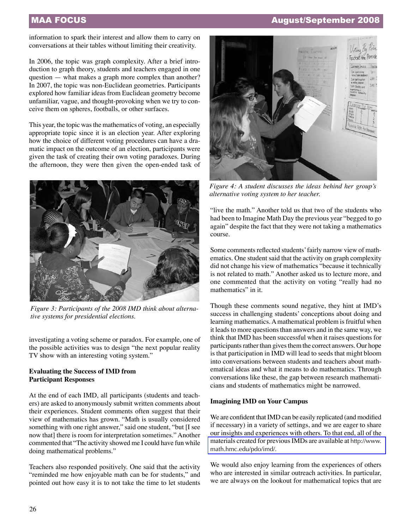## MAA FOCUS August/September 2008

information to spark their interest and allow them to carry on conversations at their tables without limiting their creativity.

In 2006, the topic was graph complexity. After a brief introduction to graph theory, students and teachers engaged in one question — what makes a graph more complex than another? In 2007, the topic was non-Euclidean geometries. Participants explored how familiar ideas from Euclidean geometry become unfamiliar, vague, and thought-provoking when we try to conceive them on spheres, footballs, or other surfaces.

This year, the topic was the mathematics of voting, an especially appropriate topic since it is an election year. After exploring how the choice of different voting procedures can have a dramatic impact on the outcome of an election, participants were given the task of creating their own voting paradoxes. During the afternoon, they were then given the open-ended task of



*Figure 3: Participants of the 2008 IMD think about alternative systems for presidential elections.*

investigating a voting scheme or paradox. For example, one of the possible activities was to design "the next popular reality TV show with an interesting voting system."

#### **Evaluating the Success of IMD from Participant Responses**

At the end of each IMD, all participants (students and teachers) are asked to anonymously submit written comments about their experiences. Student comments often suggest that their view of mathematics has grown. "Math is usually considered something with one right answer," said one student, "but [I see now that] there is room for interpretation sometimes." Another commented that "The activity showed me I could have fun while doing mathematical problems."

Teachers also responded positively. One said that the activity "reminded me how enjoyable math can be for students," and pointed out how easy it is to not take the time to let students



*Figure 4: A student discusses the ideas behind her group's alternative voting system to her teacher.*

"live the math." Another told us that two of the students who had been to Imagine Math Day the previous year "begged to go again" despite the fact that they were not taking a mathematics course.

Some comments reflected students' fairly narrow view of mathematics. One student said that the activity on graph complexity did not change his view of mathematics "because it technically is not related to math." Another asked us to lecture more, and one commented that the activity on voting "really had no mathematics" in it.

Though these comments sound negative, they hint at IMD's success in challenging students' conceptions about doing and learning mathematics. A mathematical problem is fruitful when it leads to more questions than answers and in the same way, we think that IMD has been successful when it raises questions for participants rather than gives them the correct answers. Our hope is that participation in IMD will lead to seeds that might bloom into conversations between students and teachers about mathematical ideas and what it means to do mathematics. Through conversations like these, the gap between research mathematicians and students of mathematics might be narrowed.

#### **Imagining IMD on Your Campus**

We are confident that IMD can be easily replicated (and modified if necessary) in a variety of settings, and we are eager to share our insights and experiences with others. To that end, all of the [materials created for previous IMDs are available at](http://www.math.hmc.edu/pdo/imd/) http://www. math.hmc.edu/pdo/imd/.

We would also enjoy learning from the experiences of others who are interested in similar outreach activities. In particular, we are always on the lookout for mathematical topics that are